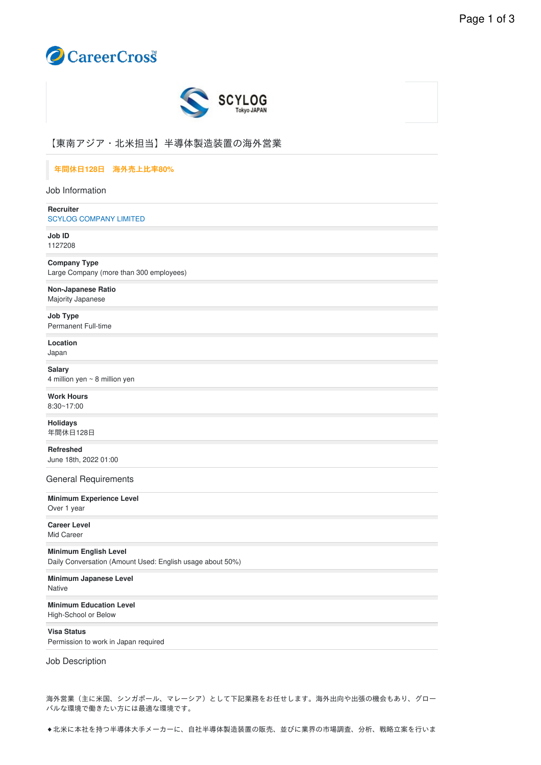



# 【東南アジア・北⽶担当】半導体製造装置の海外営業

# 年間休⽇**128**⽇ 海外売上⽐率**80%**

Job Information

**Recruiter** SCYLOG [COMPANY](https://www.careercross.com/en/company/detail-414086) LIMITED

**Job ID** 1127208

**Company Type** Large Company (more than 300 employees)

**Non-Japanese Ratio** Majority Japanese

**Job Type** Permanent Full-time

**Location** Japan

**Salary** 4 million yen ~ 8 million yen

**Work Hours** 8:30~17:00

**Holidays** 年間休日128日

**Refreshed** June 18th, 2022 01:00

General Requirements

**Minimum Experience Level** Over 1 year

**Career Level** Mid Career

**Minimum English Level** Daily Conversation (Amount Used: English usage about 50%)

**Minimum Japanese Level Native** 

**Minimum Education Level** High-School or Below

**Visa Status** Permission to work in Japan required

Job Description

海外営業(主に⽶国、シンガポール、マレーシア)として下記業務をお任せします。海外出向や出張の機会もあり、グロー バルな環境で働きたい⽅には最適な環境です。

◆北米に本社を持つ半導体大手メーカーに、自社半導体製造装置の販売、並びに業界の市場調査、分析、戦略立案を行いま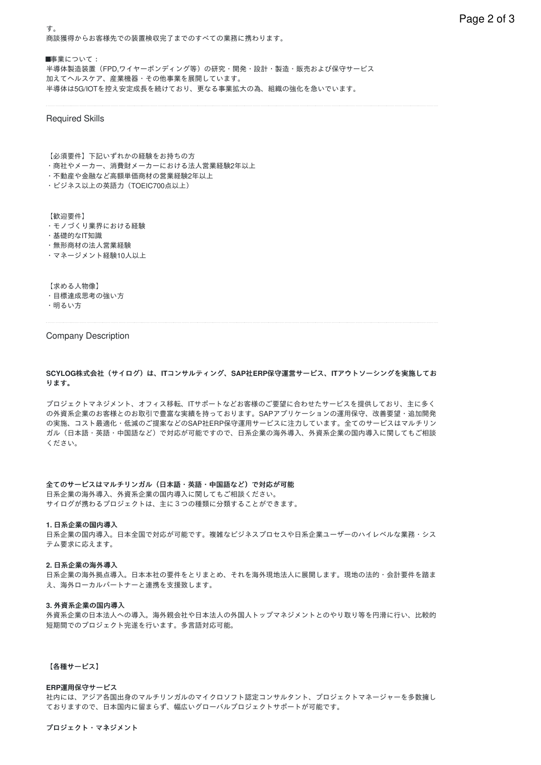商談獲得からお客様先での装置検収完了までのすべての業務に携わります。

■事業について: 半導体製造装置(FPD,ワイヤーボンディング等)の研究・開発・設計・製造・販売および保守サービス 加えてヘルスケア、産業機器・その他事業を展開しています。 半導体は5G/IOTを控え安定成⻑を続けており、更なる事業拡⼤の為、組織の強化を急いでいます。

### Required Skills

す。

【必須要件】下記いずれかの経験をお持ちの方

- ・商社やメーカー、消費財メーカーにおける法⼈営業経験2年以上
- ・不動産や⾦融など⾼額単価商材の営業経験2年以上
- ・ビジネス以上の英語力 (TOEIC700点以上)

【歓迎要件】

- ・モノづくり業界における経験
- ・基礎的なIT知識
- ・無形商材の法人営業経験
- ・マネージメント経験10⼈以上

【求める⼈物像】

・目標達成思考の強い方

・明るい⽅

### Company Description

# **SCYLOG**株式会社(サイログ)は、**IT**コンサルティング、**SAP**社**ERP**保守運営サービス、**IT**アウトソーシングを実施してお ります。

プロジェクトマネジメント、オフィス移転、ITサポートなどお客様のご要望に合わせたサービスを提供しており、主に多く の外資系企業のお客様とのお取引で豊富な実績を持っております。SAPアプリケーションの運用保守、改善要望・追加開発 の実施、コスト最適化·低減のご提案などのSAP社ERP保守運用サービスに注力しています。全てのサービスはマルチリン ガル(日本語・英語・中国語など)で対応が可能ですので、日系企業の海外導入、外資系企業の国内導入に関してもご相談 ください。

### 全てのサービスはマルチリンガル(日本語・英語・中国語など)で対応が可能

日系企業の海外導入、外資系企業の国内導入に関してもご相談ください。 サイログが携わるプロジェクトは、主に3つの種類に分類することができます。

#### 1. 日系企業の国内導入

日系企業の国内導入。日本全国で対応が可能です。複雑なビジネスプロセスや日系企業ユーザーのハイレベルな業務・シス テム要求に応えます。

#### 2. 日系企業の海外導入

日系企業の海外拠点導入。日本本社の要件をとりまとめ、それを海外現地法人に展開します。現地の法的・会計要件を踏ま え、海外ローカルパートナーと連携を支援致します。

#### **3.** 外資系企業の国内導⼊

外資系企業の日本法人への導入。海外親会社や日本法人の外国人トップマネジメントとのやり取り等を円滑に行い、比較的 短期間でのプロジェクト完遂を行います。多言語対応可能。

### 【各種サービス】

#### **ERP**運⽤保守サービス

社内には、アジア各国出⾝のマルチリンガルのマイクロソフト認定コンサルタント、プロジェクトマネージャーを多数擁し ておりますので、⽇本国内に留まらず、幅広いグローバルプロジェクトサポートが可能です。

プロジェクト・マネジメント